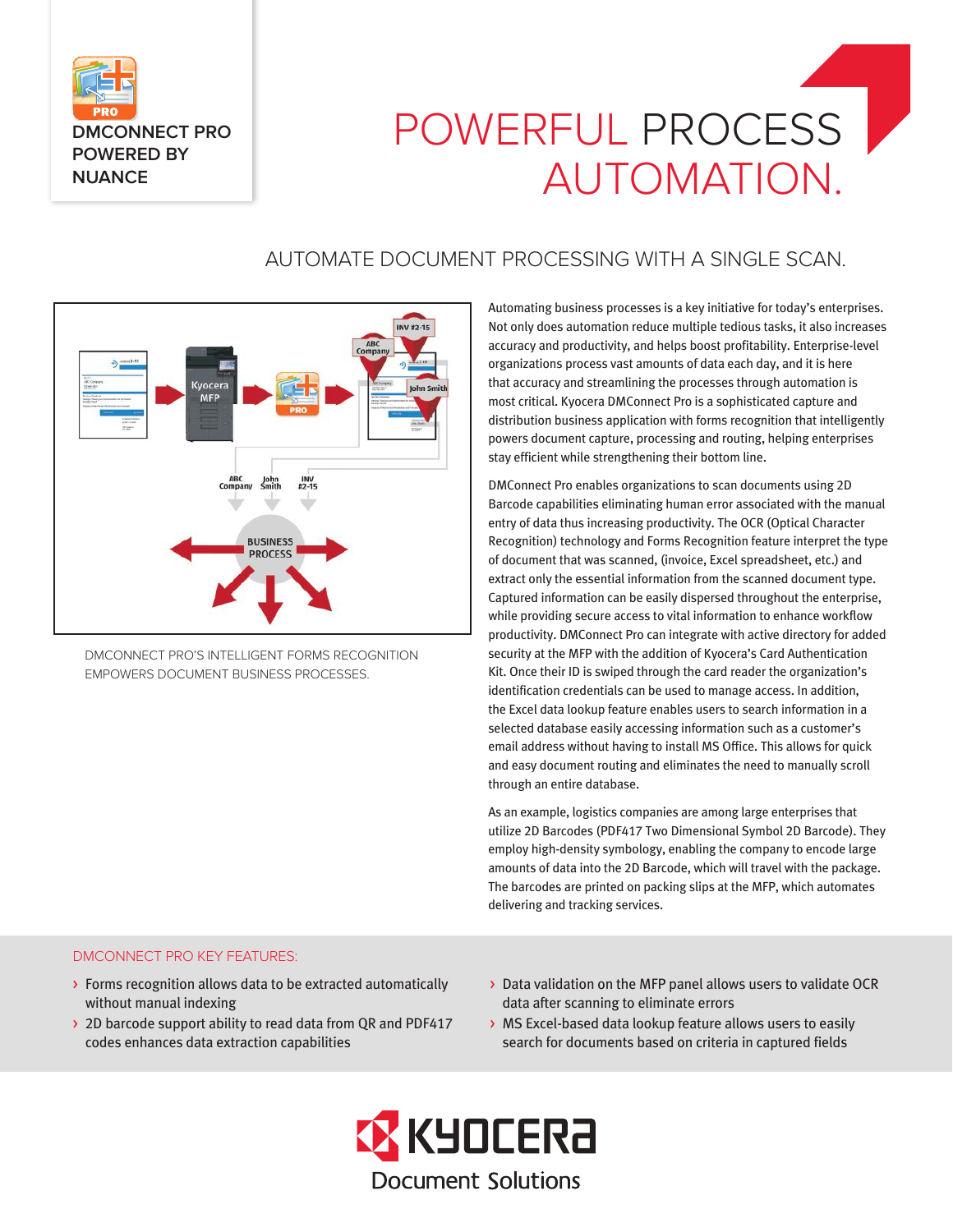

# POWERFUL PROCESS AUTOMATION.

# AUTOMATE DOCUMENT PROCESSING WITH A SINGLE SCAN.



DMCONNECT PRO'S INTELLIGENT FORMS RECOGNITION EMPOWERS DOCUMENT BUSINESS PROCESSES.

Automating business processes is a key initiative for today's enterprises. Not only does automation reduce multiple tedious tasks, it also increases accuracy and productivity, and helps boost profitability. Enterprise-level organizations process vast amounts of data each day, and it is here that accuracy and streamlining the processes through automation is most critical. Kyocera DMConnect Pro is a sophisticated capture and distribution business application with forms recognition that intelligently powers document capture, processing and routing, helping enterprises stay efficient while strengthening their bottom line.

DMConnect Pro enables organizations to scan documents using 2D Barcode capabilities eliminating human error associated with the manual entry of data thus increasing productivity. The OCR (Optical Character Recognition) technology and Forms Recognition feature interpret the type of document that was scanned, (invoice, Excel spreadsheet, etc.) and extract only the essential information from the scanned document type. Captured information can be easily dispersed throughout the enterprise, while providing secure access to vital information to enhance workflow productivity. DMConnect Pro can integrate with active directory for added security at the MFP with the addition of Kyocera's Card Authentication Kit. Once their ID is swiped through the card reader the organization's identification credentials can be used to manage access. In addition, the Excel data lookup feature enables users to search information in a selected database easily accessing information such as a customer's email address without having to install MS Office. This allows for quick and easy document routing and eliminates the need to manually scroll through an entire database.

As an example, logistics companies are among large enterprises that utilize 2D Barcodes (PDF417 Two Dimensional Symbol 2D Barcode). They employ high-density symbology, enabling the company to encode large amounts of data into the 2D Barcode, which will travel with the package. The barcodes are printed on packing slips at the MFP, which automates delivering and tracking services.

#### DMCONNECT PRO KEY FEATURES:

- > Forms recognition allows data to be extracted automatically without manual indexing
- > 2D barcode support ability to read data from QR and PDF417 codes enhances data extraction capabilities
- > Data validation on the MFP panel allows users to validate OCR data after scanning to eliminate errors
- > MS Excel-based data lookup feature allows users to easily search for documents based on criteria in captured fields